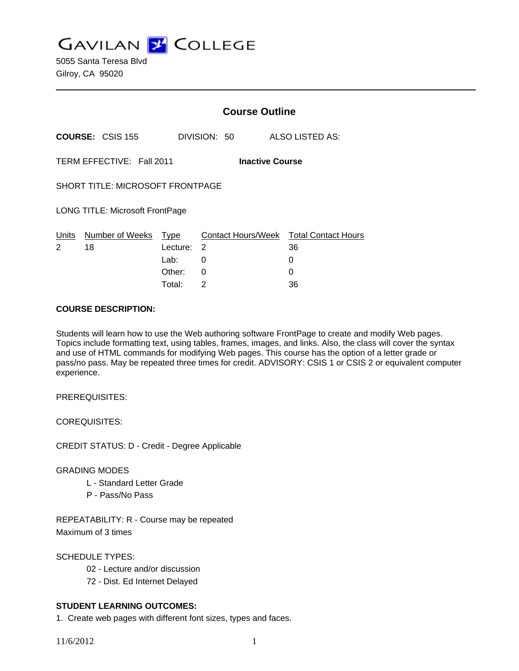**GAVILAN J COLLEGE** 

5055 Santa Teresa Blvd Gilroy, CA 95020

|                                                     |                         | <b>Course Outline</b> |                                |                 |                            |
|-----------------------------------------------------|-------------------------|-----------------------|--------------------------------|-----------------|----------------------------|
|                                                     | <b>COURSE: CSIS 155</b> | DIVISION: 50          |                                | ALSO LISTED AS: |                            |
| TERM EFFECTIVE: Fall 2011<br><b>Inactive Course</b> |                         |                       |                                |                 |                            |
| <b>SHORT TITLE: MICROSOFT FRONTPAGE</b>             |                         |                       |                                |                 |                            |
| <b>LONG TITLE: Microsoft FrontPage</b>              |                         |                       |                                |                 |                            |
| Units<br>2                                          | Number of Weeks<br>18   | Type<br>Lecture:      | <b>Contact Hours/Week</b><br>2 | 36              | <b>Total Contact Hours</b> |
|                                                     |                         | Lab:                  | 0                              | 0               |                            |
|                                                     |                         | Other:                | $\Omega$                       | 0               |                            |
|                                                     |                         | Total:                | $\overline{2}$                 | 36              |                            |

#### **COURSE DESCRIPTION:**

Students will learn how to use the Web authoring software FrontPage to create and modify Web pages. Topics include formatting text, using tables, frames, images, and links. Also, the class will cover the syntax and use of HTML commands for modifying Web pages. This course has the option of a letter grade or pass/no pass. May be repeated three times for credit. ADVISORY: CSIS 1 or CSIS 2 or equivalent computer experience.

PREREQUISITES:

COREQUISITES:

CREDIT STATUS: D - Credit - Degree Applicable

# GRADING MODES

- L Standard Letter Grade
- P Pass/No Pass

REPEATABILITY: R - Course may be repeated Maximum of 3 times

SCHEDULE TYPES:

02 - Lecture and/or discussion

72 - Dist. Ed Internet Delayed

# **STUDENT LEARNING OUTCOMES:**

1. Create web pages with different font sizes, types and faces.

11/6/2012 1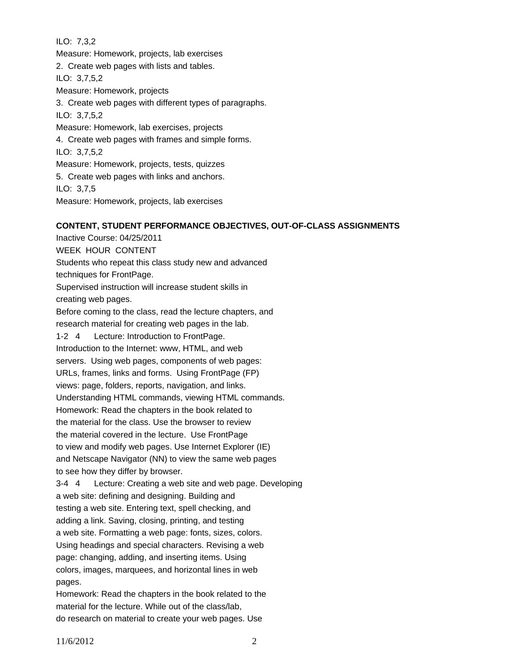ILO: 7,3,2 Measure: Homework, projects, lab exercises 2. Create web pages with lists and tables. ILO: 3,7,5,2 Measure: Homework, projects 3. Create web pages with different types of paragraphs. ILO: 3,7,5,2 Measure: Homework, lab exercises, projects 4. Create web pages with frames and simple forms. ILO: 3,7,5,2 Measure: Homework, projects, tests, quizzes 5. Create web pages with links and anchors. ILO: 3,7,5 Measure: Homework, projects, lab exercises

# **CONTENT, STUDENT PERFORMANCE OBJECTIVES, OUT-OF-CLASS ASSIGNMENTS**

Inactive Course: 04/25/2011 WEEK HOUR CONTENT Students who repeat this class study new and advanced techniques for FrontPage. Supervised instruction will increase student skills in creating web pages. Before coming to the class, read the lecture chapters, and research material for creating web pages in the lab. 1-2 4 Lecture: Introduction to FrontPage. Introduction to the Internet: www, HTML, and web servers. Using web pages, components of web pages: URLs, frames, links and forms. Using FrontPage (FP) views: page, folders, reports, navigation, and links. Understanding HTML commands, viewing HTML commands. Homework: Read the chapters in the book related to the material for the class. Use the browser to review the material covered in the lecture. Use FrontPage to view and modify web pages. Use Internet Explorer (IE) and Netscape Navigator (NN) to view the same web pages to see how they differ by browser. 3-4 4 Lecture: Creating a web site and web page. Developing a web site: defining and designing. Building and testing a web site. Entering text, spell checking, and adding a link. Saving, closing, printing, and testing a web site. Formatting a web page: fonts, sizes, colors. Using headings and special characters. Revising a web page: changing, adding, and inserting items. Using colors, images, marquees, and horizontal lines in web pages.

Homework: Read the chapters in the book related to the material for the lecture. While out of the class/lab, do research on material to create your web pages. Use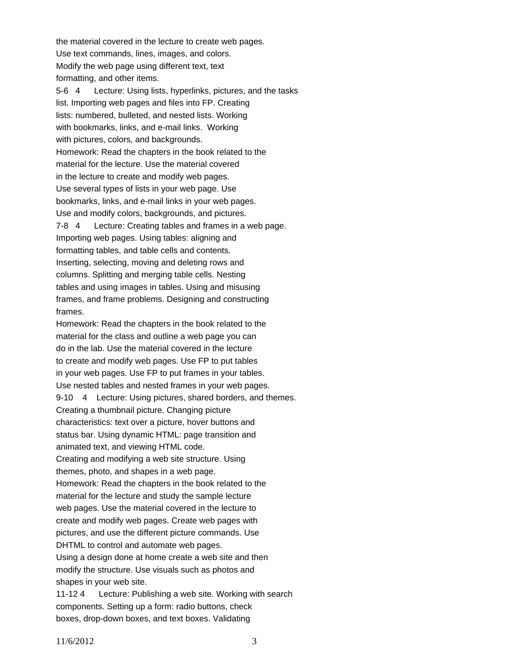the material covered in the lecture to create web pages. Use text commands, lines, images, and colors. Modify the web page using different text, text formatting, and other items.

5-6 4 Lecture: Using lists, hyperlinks, pictures, and the tasks list. Importing web pages and files into FP. Creating lists: numbered, bulleted, and nested lists. Working with bookmarks, links, and e-mail links. Working with pictures, colors, and backgrounds. Homework: Read the chapters in the book related to the material for the lecture. Use the material covered in the lecture to create and modify web pages. Use several types of lists in your web page. Use bookmarks, links, and e-mail links in your web pages. Use and modify colors, backgrounds, and pictures. 7-8 4 Lecture: Creating tables and frames in a web page. Importing web pages. Using tables: aligning and formatting tables, and table cells and contents. Inserting, selecting, moving and deleting rows and columns. Splitting and merging table cells. Nesting tables and using images in tables. Using and misusing frames, and frame problems. Designing and constructing frames.

Homework: Read the chapters in the book related to the material for the class and outline a web page you can do in the lab. Use the material covered in the lecture to create and modify web pages. Use FP to put tables in your web pages. Use FP to put frames in your tables. Use nested tables and nested frames in your web pages. 9-10 4 Lecture: Using pictures, shared borders, and themes. Creating a thumbnail picture. Changing picture characteristics: text over a picture, hover buttons and status bar. Using dynamic HTML: page transition and animated text, and viewing HTML code. Creating and modifying a web site structure. Using themes, photo, and shapes in a web page. Homework: Read the chapters in the book related to the material for the lecture and study the sample lecture web pages. Use the material covered in the lecture to create and modify web pages. Create web pages with pictures, and use the different picture commands. Use DHTML to control and automate web pages. Using a design done at home create a web site and then modify the structure. Use visuals such as photos and shapes in your web site.

11-12 4 Lecture: Publishing a web site. Working with search components. Setting up a form: radio buttons, check boxes, drop-down boxes, and text boxes. Validating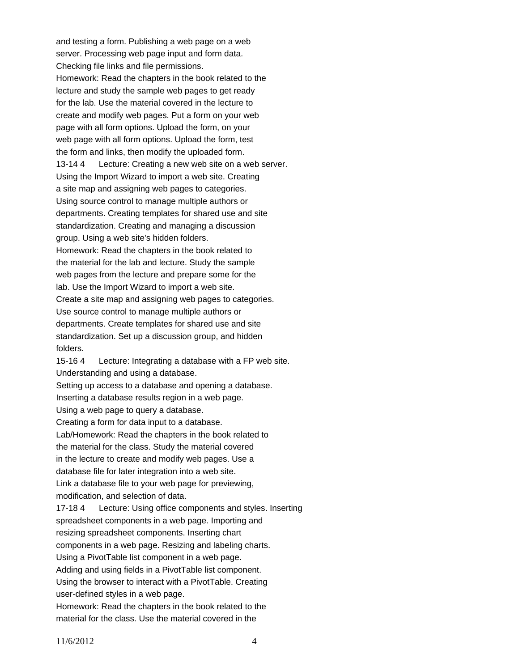and testing a form. Publishing a web page on a web server. Processing web page input and form data. Checking file links and file permissions. Homework: Read the chapters in the book related to the lecture and study the sample web pages to get ready for the lab. Use the material covered in the lecture to create and modify web pages. Put a form on your web page with all form options. Upload the form, on your web page with all form options. Upload the form, test the form and links, then modify the uploaded form. 13-14 4 Lecture: Creating a new web site on a web server. Using the Import Wizard to import a web site. Creating a site map and assigning web pages to categories. Using source control to manage multiple authors or departments. Creating templates for shared use and site standardization. Creating and managing a discussion group. Using a web site's hidden folders. Homework: Read the chapters in the book related to the material for the lab and lecture. Study the sample web pages from the lecture and prepare some for the lab. Use the Import Wizard to import a web site. Create a site map and assigning web pages to categories. Use source control to manage multiple authors or departments. Create templates for shared use and site standardization. Set up a discussion group, and hidden folders. 15-16 4 Lecture: Integrating a database with a FP web site. Understanding and using a database. Setting up access to a database and opening a database. Inserting a database results region in a web page. Using a web page to query a database. Creating a form for data input to a database. Lab/Homework: Read the chapters in the book related to the material for the class. Study the material covered in the lecture to create and modify web pages. Use a database file for later integration into a web site. Link a database file to your web page for previewing, modification, and selection of data. 17-18 4 Lecture: Using office components and styles. Inserting

spreadsheet components in a web page. Importing and resizing spreadsheet components. Inserting chart components in a web page. Resizing and labeling charts. Using a PivotTable list component in a web page. Adding and using fields in a PivotTable list component. Using the browser to interact with a PivotTable. Creating user-defined styles in a web page. Homework: Read the chapters in the book related to the

material for the class. Use the material covered in the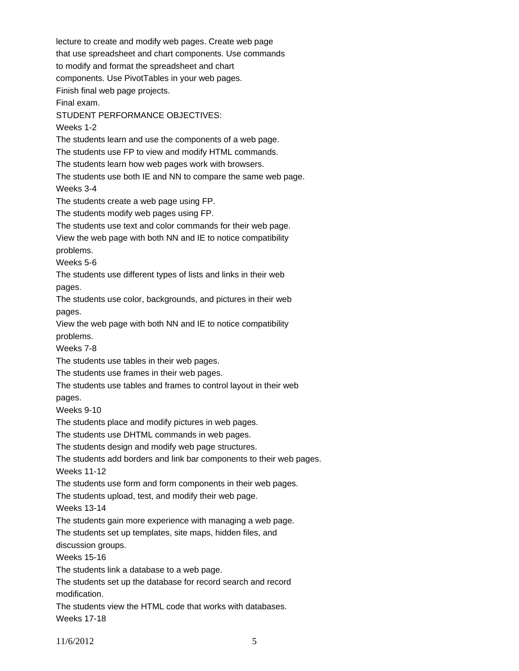lecture to create and modify web pages. Create web page that use spreadsheet and chart components. Use commands to modify and format the spreadsheet and chart components. Use PivotTables in your web pages. Finish final web page projects. Final exam. STUDENT PERFORMANCE OBJECTIVES: Weeks 1-2 The students learn and use the components of a web page. The students use FP to view and modify HTML commands. The students learn how web pages work with browsers. The students use both IE and NN to compare the same web page. Weeks 3-4 The students create a web page using FP. The students modify web pages using FP. The students use text and color commands for their web page. View the web page with both NN and IE to notice compatibility problems. Weeks 5-6 The students use different types of lists and links in their web pages. The students use color, backgrounds, and pictures in their web pages. View the web page with both NN and IE to notice compatibility problems. Weeks 7-8 The students use tables in their web pages. The students use frames in their web pages. The students use tables and frames to control layout in their web pages. Weeks 9-10 The students place and modify pictures in web pages. The students use DHTML commands in web pages. The students design and modify web page structures. The students add borders and link bar components to their web pages. Weeks 11-12 The students use form and form components in their web pages. The students upload, test, and modify their web page. Weeks 13-14 The students gain more experience with managing a web page. The students set up templates, site maps, hidden files, and discussion groups. Weeks 15-16 The students link a database to a web page. The students set up the database for record search and record modification. The students view the HTML code that works with databases. Weeks 17-18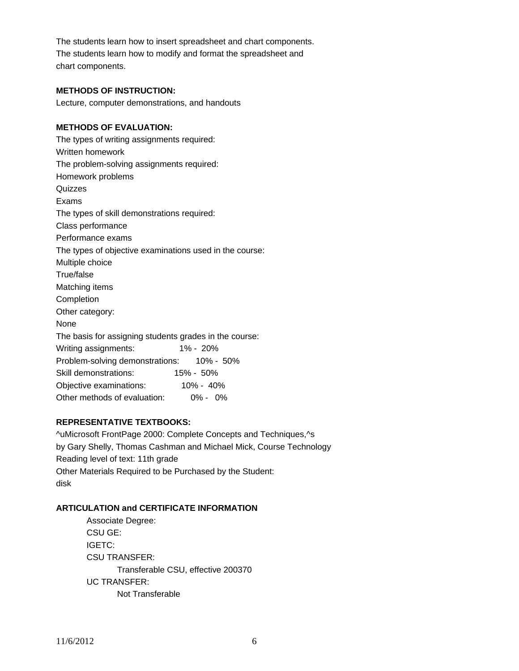The students learn how to insert spreadsheet and chart components. The students learn how to modify and format the spreadsheet and chart components.

# **METHODS OF INSTRUCTION:**

Lecture, computer demonstrations, and handouts

# **METHODS OF EVALUATION:**

The types of writing assignments required: Written homework The problem-solving assignments required: Homework problems **Quizzes** Exams The types of skill demonstrations required: Class performance Performance exams The types of objective examinations used in the course: Multiple choice True/false Matching items Completion Other category: None The basis for assigning students grades in the course: Writing assignments: 1% - 20% Problem-solving demonstrations: 10% - 50% Skill demonstrations: 15% - 50% Objective examinations: 10% - 40% Other methods of evaluation: 0% - 0%

# **REPRESENTATIVE TEXTBOOKS:**

^uMicrosoft FrontPage 2000: Complete Concepts and Techniques,^s by Gary Shelly, Thomas Cashman and Michael Mick, Course Technology Reading level of text: 11th grade Other Materials Required to be Purchased by the Student: disk

# **ARTICULATION and CERTIFICATE INFORMATION**

 Transferable CSU, effective 200370 UC TRANSFER: Not Transferable Associate Degree: CSU GE: IGETC: CSU TRANSFER: